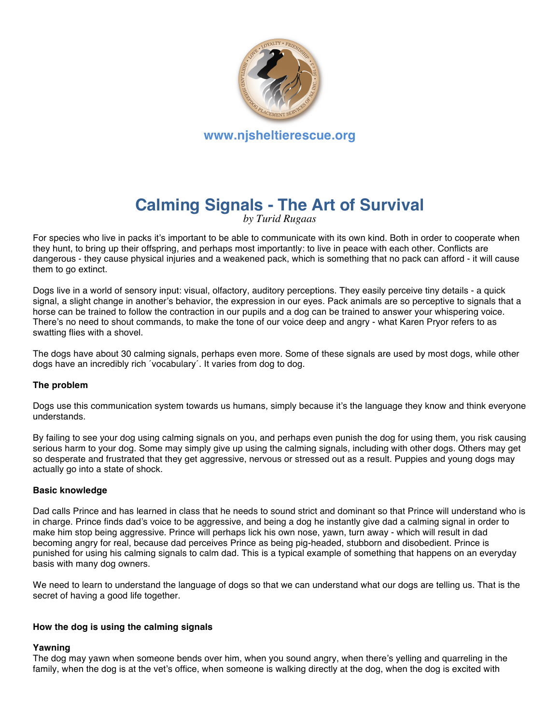

# **Calming Signals - The Art of Survival**

*by Turid Rugaas*

For species who live in packs it's important to be able to communicate with its own kind. Both in order to cooperate when they hunt, to bring up their offspring, and perhaps most importantly: to live in peace with each other. Conflicts are dangerous - they cause physical injuries and a weakened pack, which is something that no pack can afford - it will cause them to go extinct.

Dogs live in a world of sensory input: visual, olfactory, auditory perceptions. They easily perceive tiny details - a quick signal, a slight change in another's behavior, the expression in our eyes. Pack animals are so perceptive to signals that a horse can be trained to follow the contraction in our pupils and a dog can be trained to answer your whispering voice. There's no need to shout commands, to make the tone of our voice deep and angry - what Karen Pryor refers to as swatting flies with a shovel.

The dogs have about 30 calming signals, perhaps even more. Some of these signals are used by most dogs, while other dogs have an incredibly rich ´vocabulary´. It varies from dog to dog.

# **The problem**

Dogs use this communication system towards us humans, simply because it's the language they know and think everyone understands.

By failing to see your dog using calming signals on you, and perhaps even punish the dog for using them, you risk causing serious harm to your dog. Some may simply give up using the calming signals, including with other dogs. Others may get so desperate and frustrated that they get aggressive, nervous or stressed out as a result. Puppies and young dogs may actually go into a state of shock.

## **Basic knowledge**

Dad calls Prince and has learned in class that he needs to sound strict and dominant so that Prince will understand who is in charge. Prince finds dad's voice to be aggressive, and being a dog he instantly give dad a calming signal in order to make him stop being aggressive. Prince will perhaps lick his own nose, yawn, turn away - which will result in dad becoming angry for real, because dad perceives Prince as being pig-headed, stubborn and disobedient. Prince is punished for using his calming signals to calm dad. This is a typical example of something that happens on an everyday basis with many dog owners.

We need to learn to understand the language of dogs so that we can understand what our dogs are telling us. That is the secret of having a good life together.

## **How the dog is using the calming signals**

# **Yawning**

The dog may yawn when someone bends over him, when you sound angry, when there's yelling and quarreling in the family, when the dog is at the vet's office, when someone is walking directly at the dog, when the dog is excited with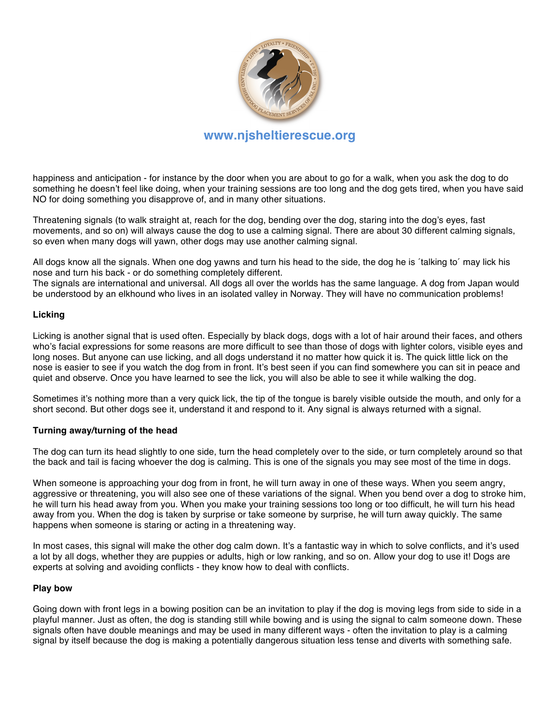

# **www.njsheltierescue.org**

happiness and anticipation - for instance by the door when you are about to go for a walk, when you ask the dog to do something he doesn't feel like doing, when your training sessions are too long and the dog gets tired, when you have said NO for doing something you disapprove of, and in many other situations.

Threatening signals (to walk straight at, reach for the dog, bending over the dog, staring into the dog's eyes, fast movements, and so on) will always cause the dog to use a calming signal. There are about 30 different calming signals, so even when many dogs will yawn, other dogs may use another calming signal.

All dogs know all the signals. When one dog yawns and turn his head to the side, the dog he is ´talking to´ may lick his nose and turn his back - or do something completely different.

The signals are international and universal. All dogs all over the worlds has the same language. A dog from Japan would be understood by an elkhound who lives in an isolated valley in Norway. They will have no communication problems!

# **Licking**

Licking is another signal that is used often. Especially by black dogs, dogs with a lot of hair around their faces, and others who's facial expressions for some reasons are more difficult to see than those of dogs with lighter colors, visible eyes and long noses. But anyone can use licking, and all dogs understand it no matter how quick it is. The quick little lick on the nose is easier to see if you watch the dog from in front. It's best seen if you can find somewhere you can sit in peace and quiet and observe. Once you have learned to see the lick, you will also be able to see it while walking the dog.

Sometimes it's nothing more than a very quick lick, the tip of the tongue is barely visible outside the mouth, and only for a short second. But other dogs see it, understand it and respond to it. Any signal is always returned with a signal.

## **Turning away/turning of the head**

The dog can turn its head slightly to one side, turn the head completely over to the side, or turn completely around so that the back and tail is facing whoever the dog is calming. This is one of the signals you may see most of the time in dogs.

When someone is approaching your dog from in front, he will turn away in one of these ways. When you seem angry, aggressive or threatening, you will also see one of these variations of the signal. When you bend over a dog to stroke him, he will turn his head away from you. When you make your training sessions too long or too difficult, he will turn his head away from you. When the dog is taken by surprise or take someone by surprise, he will turn away quickly. The same happens when someone is staring or acting in a threatening way.

In most cases, this signal will make the other dog calm down. It's a fantastic way in which to solve conflicts, and it's used a lot by all dogs, whether they are puppies or adults, high or low ranking, and so on. Allow your dog to use it! Dogs are experts at solving and avoiding conflicts - they know how to deal with conflicts.

## **Play bow**

Going down with front legs in a bowing position can be an invitation to play if the dog is moving legs from side to side in a playful manner. Just as often, the dog is standing still while bowing and is using the signal to calm someone down. These signals often have double meanings and may be used in many different ways - often the invitation to play is a calming signal by itself because the dog is making a potentially dangerous situation less tense and diverts with something safe.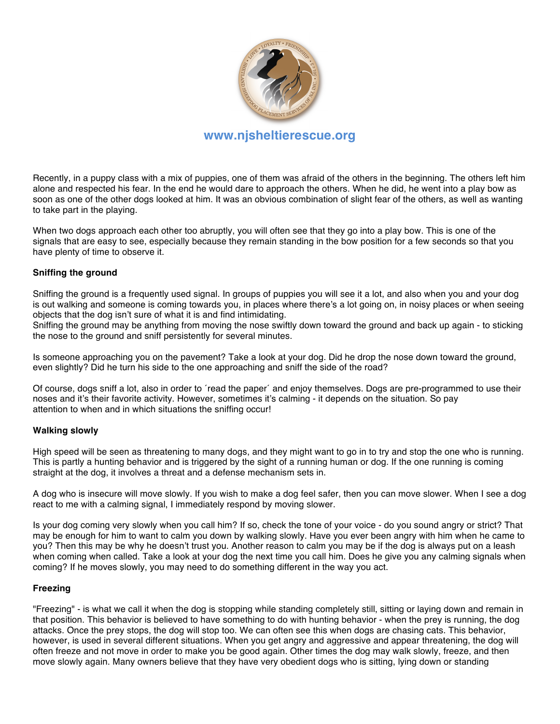

# **www.njsheltierescue.org**

Recently, in a puppy class with a mix of puppies, one of them was afraid of the others in the beginning. The others left him alone and respected his fear. In the end he would dare to approach the others. When he did, he went into a play bow as soon as one of the other dogs looked at him. It was an obvious combination of slight fear of the others, as well as wanting to take part in the playing.

When two dogs approach each other too abruptly, you will often see that they go into a play bow. This is one of the signals that are easy to see, especially because they remain standing in the bow position for a few seconds so that you have plenty of time to observe it.

# **Sniffing the ground**

Sniffing the ground is a frequently used signal. In groups of puppies you will see it a lot, and also when you and your dog is out walking and someone is coming towards you, in places where there's a lot going on, in noisy places or when seeing objects that the dog isn't sure of what it is and find intimidating.

Sniffing the ground may be anything from moving the nose swiftly down toward the ground and back up again - to sticking the nose to the ground and sniff persistently for several minutes.

Is someone approaching you on the pavement? Take a look at your dog. Did he drop the nose down toward the ground, even slightly? Did he turn his side to the one approaching and sniff the side of the road?

Of course, dogs sniff a lot, also in order to ´read the paper´ and enjoy themselves. Dogs are pre-programmed to use their noses and it's their favorite activity. However, sometimes it's calming - it depends on the situation. So pay attention to when and in which situations the sniffing occur!

## **Walking slowly**

High speed will be seen as threatening to many dogs, and they might want to go in to try and stop the one who is running. This is partly a hunting behavior and is triggered by the sight of a running human or dog. If the one running is coming straight at the dog, it involves a threat and a defense mechanism sets in.

A dog who is insecure will move slowly. If you wish to make a dog feel safer, then you can move slower. When I see a dog react to me with a calming signal, I immediately respond by moving slower.

Is your dog coming very slowly when you call him? If so, check the tone of your voice - do you sound angry or strict? That may be enough for him to want to calm you down by walking slowly. Have you ever been angry with him when he came to you? Then this may be why he doesn't trust you. Another reason to calm you may be if the dog is always put on a leash when coming when called. Take a look at your dog the next time you call him. Does he give you any calming signals when coming? If he moves slowly, you may need to do something different in the way you act.

# **Freezing**

"Freezing" - is what we call it when the dog is stopping while standing completely still, sitting or laying down and remain in that position. This behavior is believed to have something to do with hunting behavior - when the prey is running, the dog attacks. Once the prey stops, the dog will stop too. We can often see this when dogs are chasing cats. This behavior, however, is used in several different situations. When you get angry and aggressive and appear threatening, the dog will often freeze and not move in order to make you be good again. Other times the dog may walk slowly, freeze, and then move slowly again. Many owners believe that they have very obedient dogs who is sitting, lying down or standing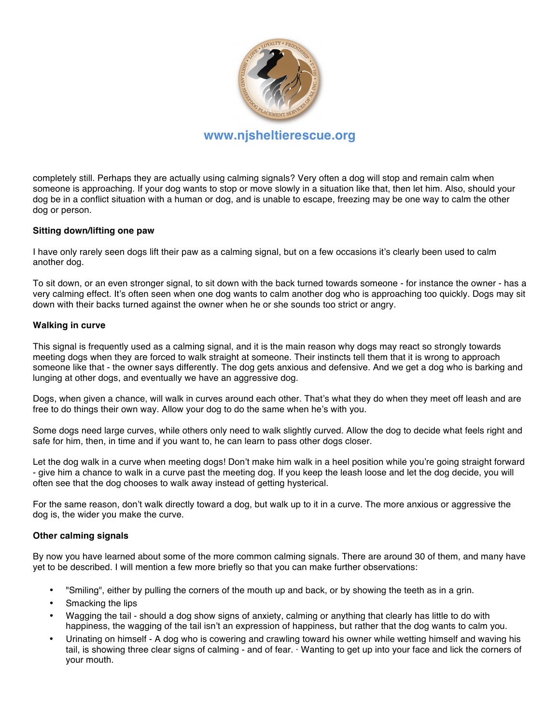

completely still. Perhaps they are actually using calming signals? Very often a dog will stop and remain calm when someone is approaching. If your dog wants to stop or move slowly in a situation like that, then let him. Also, should your dog be in a conflict situation with a human or dog, and is unable to escape, freezing may be one way to calm the other dog or person.

# **Sitting down/lifting one paw**

I have only rarely seen dogs lift their paw as a calming signal, but on a few occasions it's clearly been used to calm another dog.

To sit down, or an even stronger signal, to sit down with the back turned towards someone - for instance the owner - has a very calming effect. It's often seen when one dog wants to calm another dog who is approaching too quickly. Dogs may sit down with their backs turned against the owner when he or she sounds too strict or angry.

## **Walking in curve**

This signal is frequently used as a calming signal, and it is the main reason why dogs may react so strongly towards meeting dogs when they are forced to walk straight at someone. Their instincts tell them that it is wrong to approach someone like that - the owner says differently. The dog gets anxious and defensive. And we get a dog who is barking and lunging at other dogs, and eventually we have an aggressive dog.

Dogs, when given a chance, will walk in curves around each other. That's what they do when they meet off leash and are free to do things their own way. Allow your dog to do the same when he's with you.

Some dogs need large curves, while others only need to walk slightly curved. Allow the dog to decide what feels right and safe for him, then, in time and if you want to, he can learn to pass other dogs closer.

Let the dog walk in a curve when meeting dogs! Don't make him walk in a heel position while you're going straight forward - give him a chance to walk in a curve past the meeting dog. If you keep the leash loose and let the dog decide, you will often see that the dog chooses to walk away instead of getting hysterical.

For the same reason, don't walk directly toward a dog, but walk up to it in a curve. The more anxious or aggressive the dog is, the wider you make the curve.

## **Other calming signals**

By now you have learned about some of the more common calming signals. There are around 30 of them, and many have yet to be described. I will mention a few more briefly so that you can make further observations:

- "Smiling", either by pulling the corners of the mouth up and back, or by showing the teeth as in a grin.
- Smacking the lips
- Wagging the tail should a dog show signs of anxiety, calming or anything that clearly has little to do with happiness, the wagging of the tail isn't an expression of happiness, but rather that the dog wants to calm you.
- Urinating on himself A dog who is cowering and crawling toward his owner while wetting himself and waving his tail, is showing three clear signs of calming - and of fear. · Wanting to get up into your face and lick the corners of your mouth.